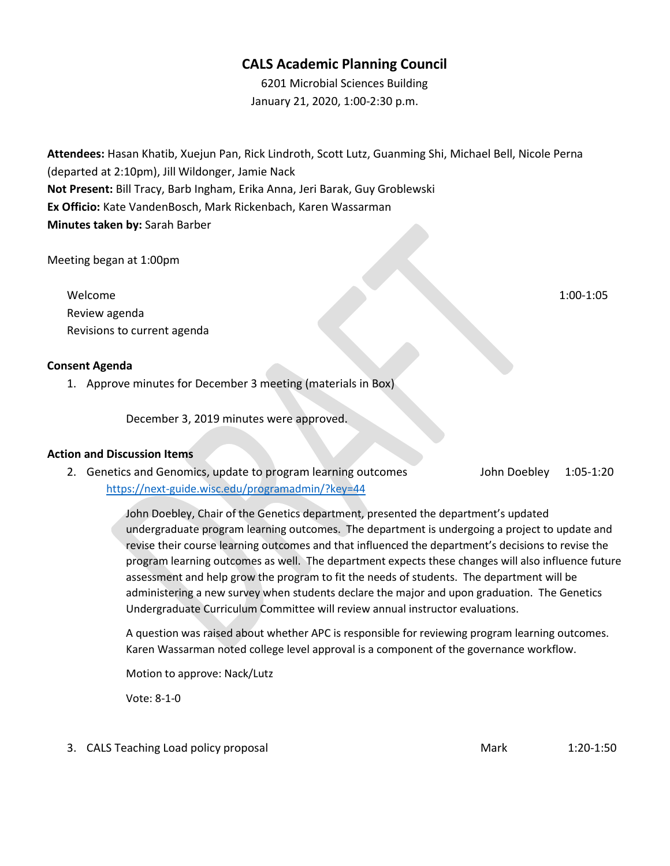# **CALS Academic Planning Council**

6201 Microbial Sciences Building January 21, 2020, 1:00-2:30 p.m.

**Attendees:** Hasan Khatib, Xuejun Pan, Rick Lindroth, Scott Lutz, Guanming Shi, Michael Bell, Nicole Perna (departed at 2:10pm), Jill Wildonger, Jamie Nack **Not Present:** Bill Tracy, Barb Ingham, Erika Anna, Jeri Barak, Guy Groblewski **Ex Officio:** Kate VandenBosch, Mark Rickenbach, Karen Wassarman **Minutes taken by:** Sarah Barber

Meeting began at 1:00pm

Welcome 1:00-1:05 Review agenda Revisions to current agenda

### **Consent Agenda**

1. Approve minutes for December 3 meeting (materials in Box)

December 3, 2019 minutes were approved.

#### **Action and Discussion Items**

2. Genetics and Genomics, update to program learning outcomes John Doebley 1:05-1:20 <https://next-guide.wisc.edu/programadmin/?key=44>

> John Doebley, Chair of the Genetics department, presented the department's updated undergraduate program learning outcomes. The department is undergoing a project to update and revise their course learning outcomes and that influenced the department's decisions to revise the program learning outcomes as well. The department expects these changes will also influence future assessment and help grow the program to fit the needs of students. The department will be administering a new survey when students declare the major and upon graduation. The Genetics Undergraduate Curriculum Committee will review annual instructor evaluations.

A question was raised about whether APC is responsible for reviewing program learning outcomes. Karen Wassarman noted college level approval is a component of the governance workflow.

Motion to approve: Nack/Lutz

Vote: 8-1-0

3. CALS Teaching Load policy proposal and Mark 1:20-1:50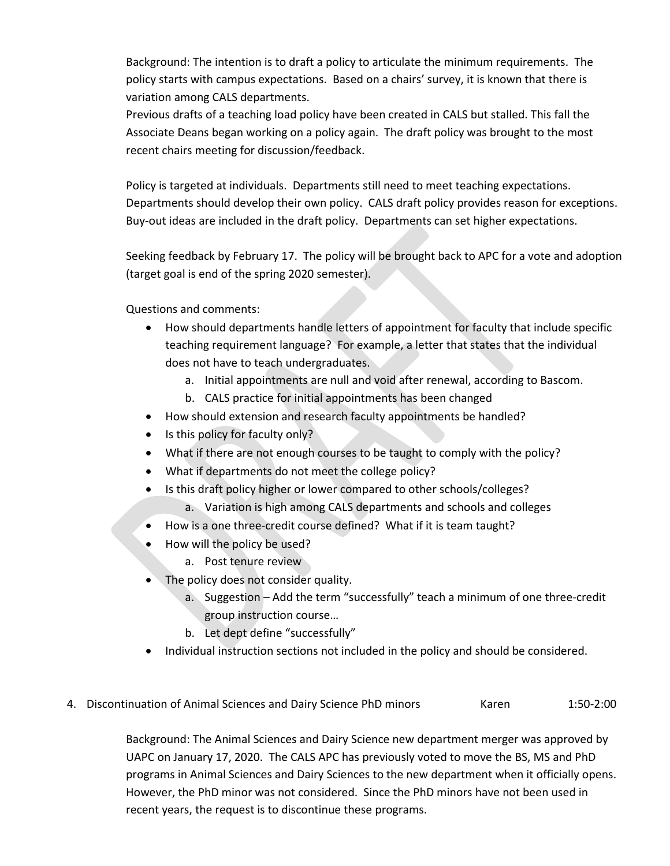Background: The intention is to draft a policy to articulate the minimum requirements. The policy starts with campus expectations. Based on a chairs' survey, it is known that there is variation among CALS departments.

Previous drafts of a teaching load policy have been created in CALS but stalled. This fall the Associate Deans began working on a policy again. The draft policy was brought to the most recent chairs meeting for discussion/feedback.

Policy is targeted at individuals. Departments still need to meet teaching expectations. Departments should develop their own policy. CALS draft policy provides reason for exceptions. Buy-out ideas are included in the draft policy. Departments can set higher expectations.

Seeking feedback by February 17. The policy will be brought back to APC for a vote and adoption (target goal is end of the spring 2020 semester).

Questions and comments:

- How should departments handle letters of appointment for faculty that include specific teaching requirement language? For example, a letter that states that the individual does not have to teach undergraduates.
	- a. Initial appointments are null and void after renewal, according to Bascom.
	- b. CALS practice for initial appointments has been changed
- How should extension and research faculty appointments be handled?
- Is this policy for faculty only?
- What if there are not enough courses to be taught to comply with the policy?
- What if departments do not meet the college policy?
- Is this draft policy higher or lower compared to other schools/colleges?
	- a. Variation is high among CALS departments and schools and colleges
- How is a one three-credit course defined? What if it is team taught?
- How will the policy be used?
	- a. Post tenure review
- The policy does not consider quality.
	- a. Suggestion Add the term "successfully" teach a minimum of one three-credit group instruction course…
	- b. Let dept define "successfully"
- Individual instruction sections not included in the policy and should be considered.
- 4. Discontinuation of Animal Sciences and Dairy Science PhD minors Karen 1:50-2:00

Background: The Animal Sciences and Dairy Science new department merger was approved by UAPC on January 17, 2020. The CALS APC has previously voted to move the BS, MS and PhD programs in Animal Sciences and Dairy Sciences to the new department when it officially opens. However, the PhD minor was not considered. Since the PhD minors have not been used in recent years, the request is to discontinue these programs.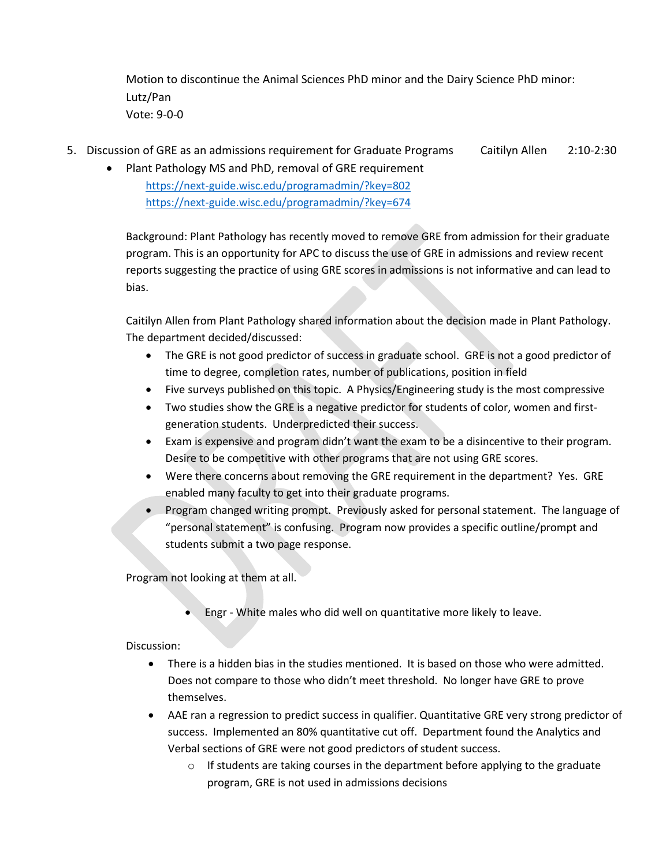Motion to discontinue the Animal Sciences PhD minor and the Dairy Science PhD minor: Lutz/Pan Vote: 9-0-0

- 5. Discussion of GRE as an admissions requirement for Graduate Programs Caitilyn Allen 2:10-2:30
	- Plant Pathology MS and PhD, removal of GRE requirement <https://next-guide.wisc.edu/programadmin/?key=802> <https://next-guide.wisc.edu/programadmin/?key=674>

Background: Plant Pathology has recently moved to remove GRE from admission for their graduate program. This is an opportunity for APC to discuss the use of GRE in admissions and review recent reports suggesting the practice of using GRE scores in admissions is not informative and can lead to bias.

Caitilyn Allen from Plant Pathology shared information about the decision made in Plant Pathology. The department decided/discussed:

- The GRE is not good predictor of success in graduate school. GRE is not a good predictor of time to degree, completion rates, number of publications, position in field
- Five surveys published on this topic. A Physics/Engineering study is the most compressive
- Two studies show the GRE is a negative predictor for students of color, women and firstgeneration students. Underpredicted their success.
- Exam is expensive and program didn't want the exam to be a disincentive to their program. Desire to be competitive with other programs that are not using GRE scores.
- Were there concerns about removing the GRE requirement in the department? Yes. GRE enabled many faculty to get into their graduate programs.
- Program changed writing prompt. Previously asked for personal statement. The language of "personal statement" is confusing. Program now provides a specific outline/prompt and students submit a two page response.

Program not looking at them at all.

• Engr - White males who did well on quantitative more likely to leave.

## Discussion:

- There is a hidden bias in the studies mentioned. It is based on those who were admitted. Does not compare to those who didn't meet threshold. No longer have GRE to prove themselves.
- AAE ran a regression to predict success in qualifier. Quantitative GRE very strong predictor of success. Implemented an 80% quantitative cut off. Department found the Analytics and Verbal sections of GRE were not good predictors of student success.
	- $\circ$  If students are taking courses in the department before applying to the graduate program, GRE is not used in admissions decisions